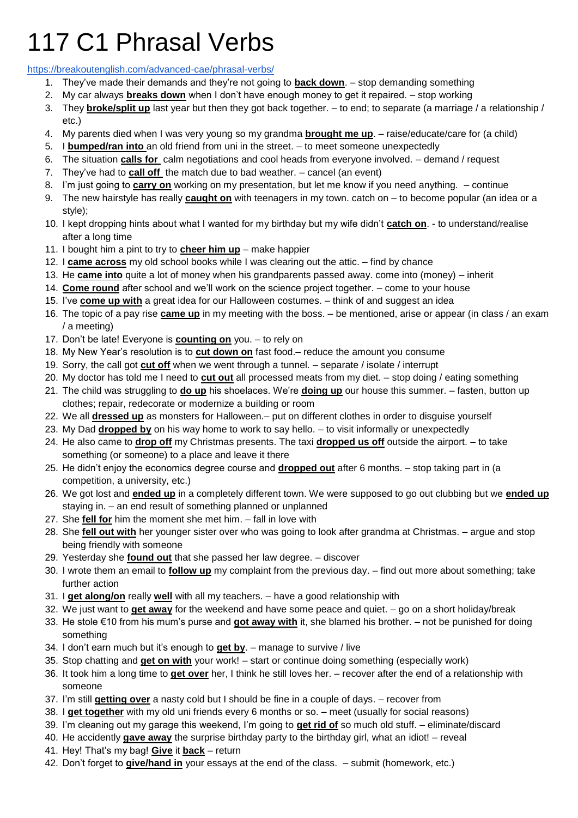## 117 C1 Phrasal Verbs

<https://breakoutenglish.com/advanced-cae/phrasal-verbs/>

- 1. They've made their demands and they're not going to **back down**. stop demanding something
- 2. My car always **breaks down** when I don't have enough money to get it repaired. stop working
- 3. They **broke/split up** last year but then they got back together. to end; to separate (a marriage / a relationship / etc.)
- 4. My parents died when I was very young so my grandma **brought me up**. raise/educate/care for (a child)
- 5. I **bumped/ran into** an old friend from uni in the street. to meet someone unexpectedly
- 6. The situation **calls for** calm negotiations and cool heads from everyone involved. demand / request
- 7. They've had to **call off** the match due to bad weather. cancel (an event)
- 8. I'm just going to **carry on** working on my presentation, but let me know if you need anything. continue
- 9. The new hairstyle has really **caught on** with teenagers in my town. catch on to become popular (an idea or a style);
- 10. I kept dropping hints about what I wanted for my birthday but my wife didn't **catch on**. to understand/realise after a long time
- 11. I bought him a pint to try to **cheer him up** make happier
- 12. I **came across** my old school books while I was clearing out the attic. find by chance
- 13. He **came into** quite a lot of money when his grandparents passed away. come into (money) inherit
- 14. **Come round** after school and we'll work on the science project together. come to your house
- 15. I've **come up with** a great idea for our Halloween costumes. think of and suggest an idea
- 16. The topic of a pay rise **came up** in my meeting with the boss. be mentioned, arise or appear (in class / an exam / a meeting)
- 17. Don't be late! Everyone is **counting on** you. to rely on
- 18. My New Year's resolution is to **cut down on** fast food.– reduce the amount you consume
- 19. Sorry, the call got **cut off** when we went through a tunnel. separate / isolate / interrupt
- 20. My doctor has told me I need to **cut out** all processed meats from my diet. stop doing / eating something
- 21. The child was struggling to **do up** his shoelaces. We're **doing up** our house this summer. fasten, button up clothes; repair, redecorate or modernize a building or room
- 22. We all **dressed up** as monsters for Halloween.– put on different clothes in order to disguise yourself
- 23. My Dad **dropped by** on his way home to work to say hello. to visit informally or unexpectedly
- 24. He also came to **drop off** my Christmas presents. The taxi **dropped us off** outside the airport. to take something (or someone) to a place and leave it there
- 25. He didn't enjoy the economics degree course and **dropped out** after 6 months. stop taking part in (a competition, a university, etc.)
- 26. We got lost and **ended up** in a completely different town. We were supposed to go out clubbing but we **ended up** staying in. – an end result of something planned or unplanned
- 27. She **fell for** him the moment she met him. fall in love with
- 28. She **fell out with** her younger sister over who was going to look after grandma at Christmas. argue and stop being friendly with someone
- 29. Yesterday she **found out** that she passed her law degree. discover
- 30. I wrote them an email to **follow up** my complaint from the previous day. find out more about something; take further action
- 31. I **get along/on** really **well** with all my teachers. have a good relationship with
- 32. We just want to **get away** for the weekend and have some peace and quiet. go on a short holiday/break
- 33. He stole €10 from his mum's purse and **got away with** it, she blamed his brother. not be punished for doing something
- 34. I don't earn much but it's enough to **get by**. manage to survive / live
- 35. Stop chatting and **get on with** your work! start or continue doing something (especially work)
- 36. It took him a long time to **get over** her, I think he still loves her. recover after the end of a relationship with someone
- 37. I'm still **getting over** a nasty cold but I should be fine in a couple of days. recover from
- 38. I **get together** with my old uni friends every 6 months or so. meet (usually for social reasons)
- 39. I'm cleaning out my garage this weekend, I'm going to **get rid of** so much old stuff. eliminate/discard
- 40. He accidently **gave away** the surprise birthday party to the birthday girl, what an idiot! reveal
- 41. Hey! That's my bag! **Give** it **back** return
- 42. Don't forget to **give/hand in** your essays at the end of the class. submit (homework, etc.)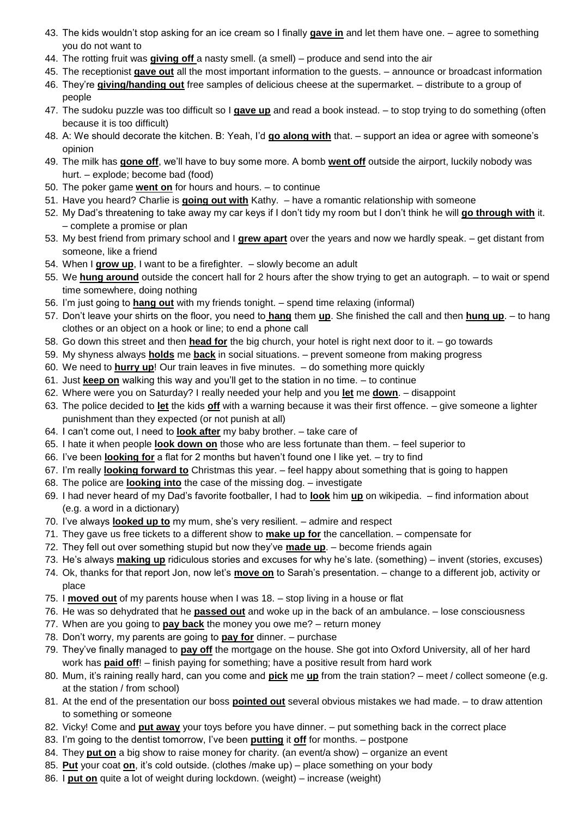- 43. The kids wouldn't stop asking for an ice cream so I finally **gave in** and let them have one. agree to something you do not want to
- 44. The rotting fruit was **giving off** a nasty smell. (a smell) produce and send into the air
- 45. The receptionist **gave out** all the most important information to the guests. announce or broadcast information
- 46. They're **giving/handing out** free samples of delicious cheese at the supermarket. distribute to a group of people
- 47. The sudoku puzzle was too difficult so I **gave up** and read a book instead. to stop trying to do something (often because it is too difficult)
- 48. A: We should decorate the kitchen. B: Yeah, I'd **go along with** that. support an idea or agree with someone's opinion
- 49. The milk has **gone off**, we'll have to buy some more. A bomb **went off** outside the airport, luckily nobody was hurt. – explode; become bad (food)
- 50. The poker game **went on** for hours and hours. to continue
- 51. Have you heard? Charlie is **going out with** Kathy. have a romantic relationship with someone
- 52. My Dad's threatening to take away my car keys if I don't tidy my room but I don't think he will **go through with** it. – complete a promise or plan
- 53. My best friend from primary school and I **grew apart** over the years and now we hardly speak. get distant from someone, like a friend
- 54. When I **grow up**, I want to be a firefighter. slowly become an adult
- 55. We **hung around** outside the concert hall for 2 hours after the show trying to get an autograph. to wait or spend time somewhere, doing nothing
- 56. I'm just going to **hang out** with my friends tonight. spend time relaxing (informal)
- 57. Don't leave your shirts on the floor, you need to **hang** them **up**. She finished the call and then **hung up**. to hang clothes or an object on a hook or line; to end a phone call
- 58. Go down this street and then **head for** the big church, your hotel is right next door to it. go towards
- 59. My shyness always **holds** me **back** in social situations. prevent someone from making progress
- 60. We need to **hurry up**! Our train leaves in five minutes. do something more quickly
- 61. Just **keep on** walking this way and you'll get to the station in no time. to continue
- 62. Where were you on Saturday? I really needed your help and you **let** me **down**. disappoint
- 63. The police decided to **let** the kids **off** with a warning because it was their first offence. give someone a lighter punishment than they expected (or not punish at all)
- 64. I can't come out, I need to **look after** my baby brother. take care of
- 65. I hate it when people **look down on** those who are less fortunate than them. feel superior to
- 66. I've been **looking for** a flat for 2 months but haven't found one I like yet. try to find
- 67. I'm really **looking forward to** Christmas this year. feel happy about something that is going to happen
- 68. The police are **looking into** the case of the missing dog. investigate
- 69. I had never heard of my Dad's favorite footballer, I had to **look** him **up** on wikipedia. find information about (e.g. a word in a dictionary)
- 70. I've always **looked up to** my mum, she's very resilient. admire and respect
- 71. They gave us free tickets to a different show to **make up for** the cancellation. compensate for
- 72. They fell out over something stupid but now they've **made up**. become friends again
- 73. He's always **making up** ridiculous stories and excuses for why he's late. (something) invent (stories, excuses)
- 74. Ok, thanks for that report Jon, now let's **move on** to Sarah's presentation. change to a different job, activity or place
- 75. I **moved out** of my parents house when I was 18. stop living in a house or flat
- 76. He was so dehydrated that he **passed out** and woke up in the back of an ambulance. lose consciousness
- 77. When are you going to **pay back** the money you owe me? return money
- 78. Don't worry, my parents are going to **pay for** dinner. purchase
- 79. They've finally managed to **pay off** the mortgage on the house. She got into Oxford University, all of her hard work has **paid off**! – finish paying for something; have a positive result from hard work
- 80. Mum, it's raining really hard, can you come and **pick** me **up** from the train station? meet / collect someone (e.g. at the station / from school)
- 81. At the end of the presentation our boss **pointed out** several obvious mistakes we had made. to draw attention to something or someone
- 82. Vicky! Come and **put away** your toys before you have dinner. put something back in the correct place
- 83. I'm going to the dentist tomorrow, I've been **putting** it **off** for months. postpone
- 84. They **put on** a big show to raise money for charity. (an event/a show) organize an event
- 85. **Put** your coat **on**, it's cold outside. (clothes /make up) place something on your body
- 86. I **put on** quite a lot of weight during lockdown. (weight) increase (weight)